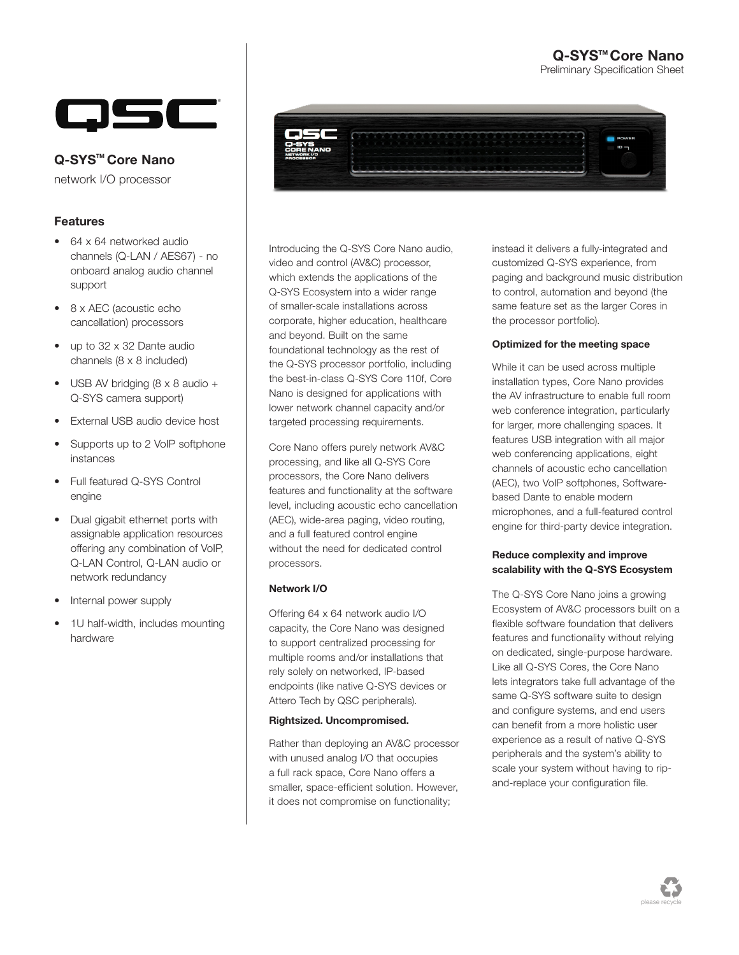## Q-SYS<sup>™</sup>Core Nano

Preliminary Specification Sheet



### Q-SYS<sup>™</sup> Core Nano

network I/O processor

### Features

- 64 x 64 networked audio channels (Q-LAN / AES67) - no onboard analog audio channel support
- 8 x AEC (acoustic echo cancellation) processors
- up to 32 x 32 Dante audio channels (8 x 8 included)
- USB AV bridging (8 x 8 audio + Q-SYS camera support)
- External USB audio device host
- Supports up to 2 VoIP softphone instances
- Full featured Q-SYS Control engine
- Dual gigabit ethernet ports with assignable application resources offering any combination of VoIP, Q-LAN Control, Q-LAN audio or network redundancy
- Internal power supply
- 1U half-width, includes mounting hardware



Introducing the Q-SYS Core Nano audio, video and control (AV&C) processor, which extends the applications of the Q-SYS Ecosystem into a wider range of smaller-scale installations across corporate, higher education, healthcare and beyond. Built on the same foundational technology as the rest of the Q-SYS processor portfolio, including the best-in-class Q-SYS Core 110f, Core Nano is designed for applications with lower network channel capacity and/or targeted processing requirements.

Core Nano offers purely network AV&C processing, and like all Q-SYS Core processors, the Core Nano delivers features and functionality at the software level, including acoustic echo cancellation (AEC), wide-area paging, video routing, and a full featured control engine without the need for dedicated control processors.

#### Network I/O

Offering 64 x 64 network audio I/O capacity, the Core Nano was designed to support centralized processing for multiple rooms and/or installations that rely solely on networked, IP-based endpoints (like native Q-SYS devices or Attero Tech by QSC peripherals).

#### Rightsized. Uncompromised.

Rather than deploying an AV&C processor with unused analog I/O that occupies a full rack space, Core Nano offers a smaller, space-efficient solution. However, it does not compromise on functionality;

instead it delivers a fully-integrated and customized Q-SYS experience, from paging and background music distribution to control, automation and beyond (the same feature set as the larger Cores in the processor portfolio).

#### Optimized for the meeting space

While it can be used across multiple installation types, Core Nano provides the AV infrastructure to enable full room web conference integration, particularly for larger, more challenging spaces. It features USB integration with all major web conferencing applications, eight channels of acoustic echo cancellation (AEC), two VoIP softphones, Softwarebased Dante to enable modern microphones, and a full-featured control engine for third-party device integration.

#### Reduce complexity and improve scalability with the Q-SYS Ecosystem

The Q-SYS Core Nano joins a growing Ecosystem of AV&C processors built on a flexible software foundation that delivers features and functionality without relying on dedicated, single-purpose hardware. Like all Q-SYS Cores, the Core Nano lets integrators take full advantage of the same Q-SYS software suite to design and configure systems, and end users can benefit from a more holistic user experience as a result of native Q-SYS peripherals and the system's ability to scale your system without having to ripand-replace your configuration file.

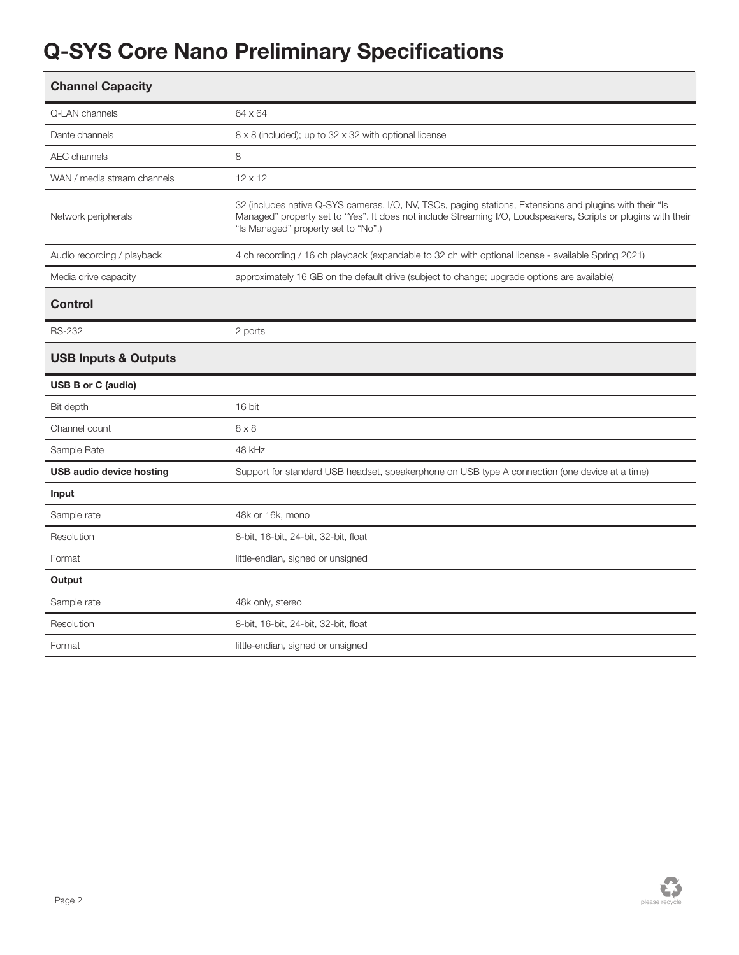# Q-SYS Core Nano Preliminary Specifications

| Q-LAN channels                  | 64 x 64                                                                                                                                                                                                                                                           |  |  |
|---------------------------------|-------------------------------------------------------------------------------------------------------------------------------------------------------------------------------------------------------------------------------------------------------------------|--|--|
| Dante channels                  | 8 x 8 (included); up to 32 x 32 with optional license                                                                                                                                                                                                             |  |  |
| <b>AEC</b> channels             | 8                                                                                                                                                                                                                                                                 |  |  |
| WAN / media stream channels     | $12 \times 12$                                                                                                                                                                                                                                                    |  |  |
| Network peripherals             | 32 (includes native Q-SYS cameras, I/O, NV, TSCs, paging stations, Extensions and plugins with their "Is<br>Managed" property set to "Yes". It does not include Streaming I/O, Loudspeakers, Scripts or plugins with their<br>"Is Managed" property set to "No".) |  |  |
| Audio recording / playback      | 4 ch recording / 16 ch playback (expandable to 32 ch with optional license - available Spring 2021)                                                                                                                                                               |  |  |
| Media drive capacity            | approximately 16 GB on the default drive (subject to change; upgrade options are available)                                                                                                                                                                       |  |  |
| <b>Control</b>                  |                                                                                                                                                                                                                                                                   |  |  |
| <b>RS-232</b>                   | 2 ports                                                                                                                                                                                                                                                           |  |  |
| <b>USB Inputs &amp; Outputs</b> |                                                                                                                                                                                                                                                                   |  |  |
| <b>USB B or C (audio)</b>       |                                                                                                                                                                                                                                                                   |  |  |
| Bit depth                       | 16 bit                                                                                                                                                                                                                                                            |  |  |
| Channel count                   | $8 \times 8$                                                                                                                                                                                                                                                      |  |  |
|                                 |                                                                                                                                                                                                                                                                   |  |  |
| Sample Rate                     | 48 kHz                                                                                                                                                                                                                                                            |  |  |
| <b>USB audio device hosting</b> | Support for standard USB headset, speakerphone on USB type A connection (one device at a time)                                                                                                                                                                    |  |  |
| Input                           |                                                                                                                                                                                                                                                                   |  |  |
| Sample rate                     | 48k or 16k, mono                                                                                                                                                                                                                                                  |  |  |
| Resolution                      | 8-bit, 16-bit, 24-bit, 32-bit, float                                                                                                                                                                                                                              |  |  |
| Format                          | little-endian, signed or unsigned                                                                                                                                                                                                                                 |  |  |
| Output                          |                                                                                                                                                                                                                                                                   |  |  |
| Sample rate                     | 48k only, stereo                                                                                                                                                                                                                                                  |  |  |
| Resolution                      | 8-bit, 16-bit, 24-bit, 32-bit, float                                                                                                                                                                                                                              |  |  |